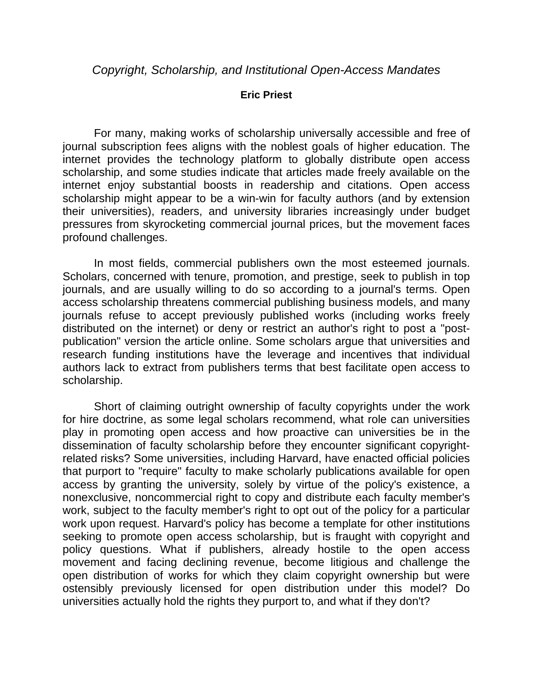## **Eric Priest**

For many, making works of scholarship universally accessible and free of journal subscription fees aligns with the noblest goals of higher education. The internet provides the technology platform to globally distribute open access scholarship, and some studies indicate that articles made freely available on the internet enjoy substantial boosts in readership and citations. Open access scholarship might appear to be a win-win for faculty authors (and by extension their universities), readers, and university libraries increasingly under budget pressures from skyrocketing commercial journal prices, but the movement faces profound challenges.

In most fields, commercial publishers own the most esteemed journals. Scholars, concerned with tenure, promotion, and prestige, seek to publish in top journals, and are usually willing to do so according to a journal's terms. Open access scholarship threatens commercial publishing business models, and many journals refuse to accept previously published works (including works freely distributed on the internet) or deny or restrict an author's right to post a "postpublication" version the article online. Some scholars argue that universities and research funding institutions have the leverage and incentives that individual authors lack to extract from publishers terms that best facilitate open access to scholarship.

Short of claiming outright ownership of faculty copyrights under the work for hire doctrine, as some legal scholars recommend, what role can universities play in promoting open access and how proactive can universities be in the dissemination of faculty scholarship before they encounter significant copyrightrelated risks? Some universities, including Harvard, have enacted official policies that purport to "require" faculty to make scholarly publications available for open access by granting the university, solely by virtue of the policy's existence, a nonexclusive, noncommercial right to copy and distribute each faculty member's work, subject to the faculty member's right to opt out of the policy for a particular work upon request. Harvard's policy has become a template for other institutions seeking to promote open access scholarship, but is fraught with copyright and policy questions. What if publishers, already hostile to the open access movement and facing declining revenue, become litigious and challenge the open distribution of works for which they claim copyright ownership but were ostensibly previously licensed for open distribution under this model? Do universities actually hold the rights they purport to, and what if they don't?